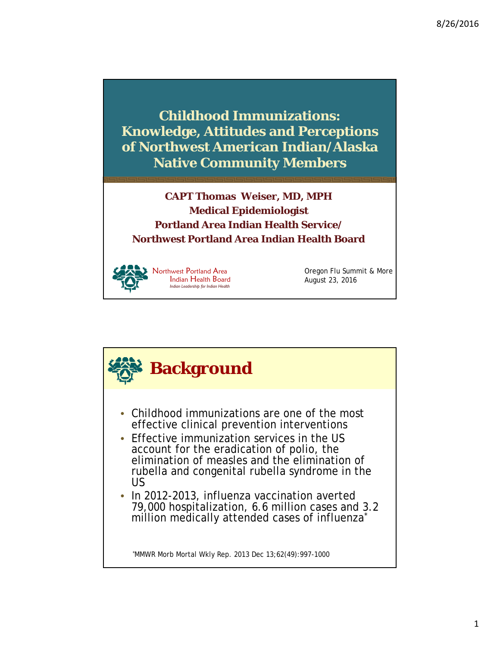**Childhood Immunizations: Knowledge, Attitudes and Perceptions of Northwest American Indian/Alaska Native Community Members**

**CAPT Thomas Weiser, MD, MPH Medical Epidemiologist Portland Area Indian Health Service/ Northwest Portland Area Indian Health Board**



**Northwest Portland Area** Indian Health Board *Indian Leadership for Indian Health*

Oregon Flu Summit & More August 23, 2016

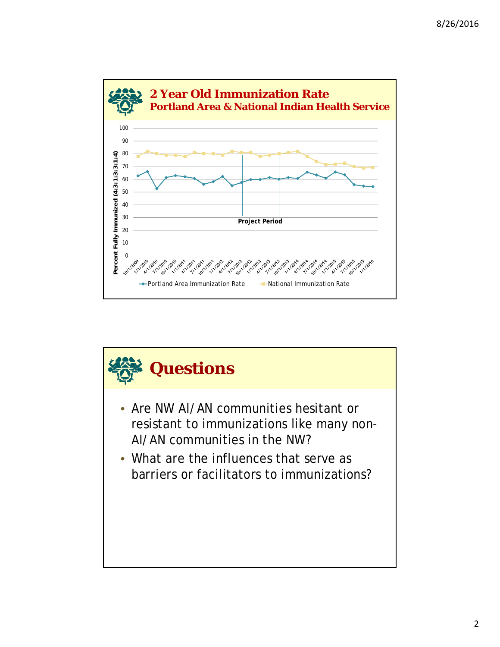

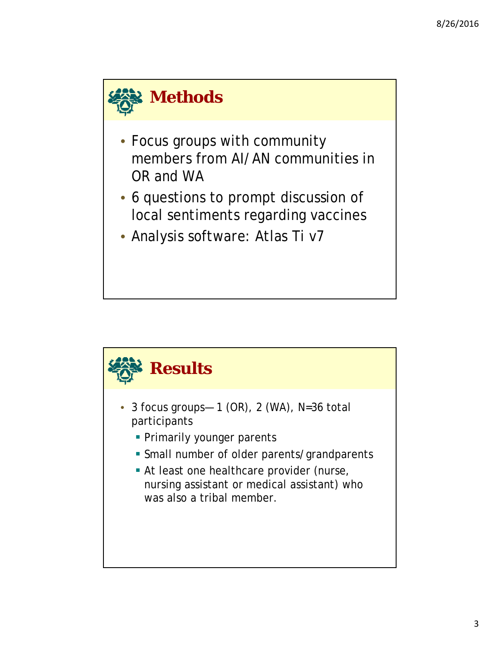

- Focus groups with community members from AI/AN communities in OR and WA
- 6 questions to prompt discussion of local sentiments regarding vaccines
- Analysis software: Atlas Ti v7

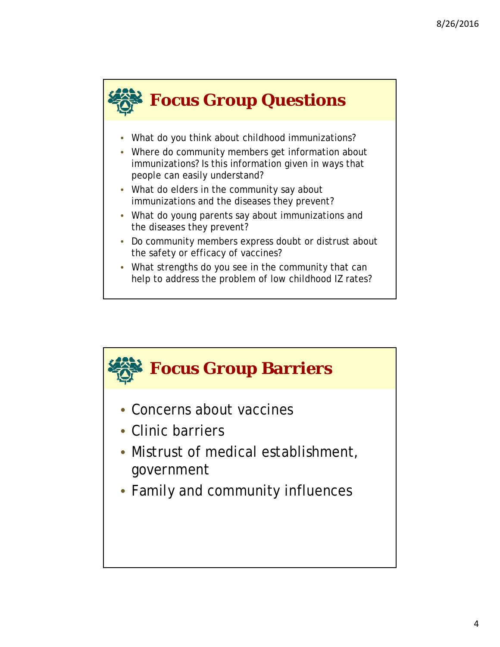

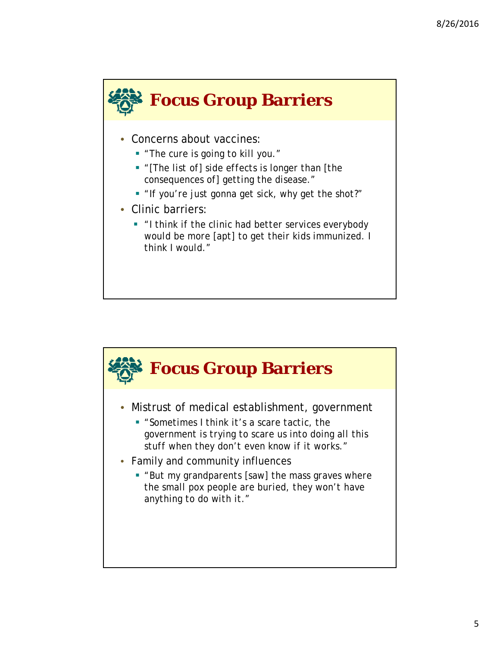

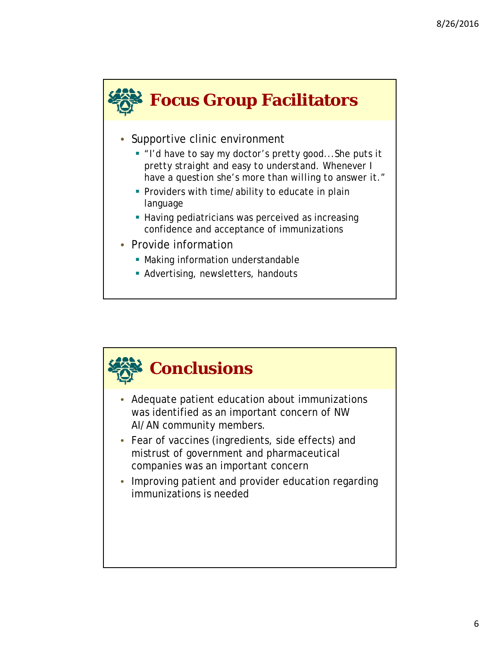

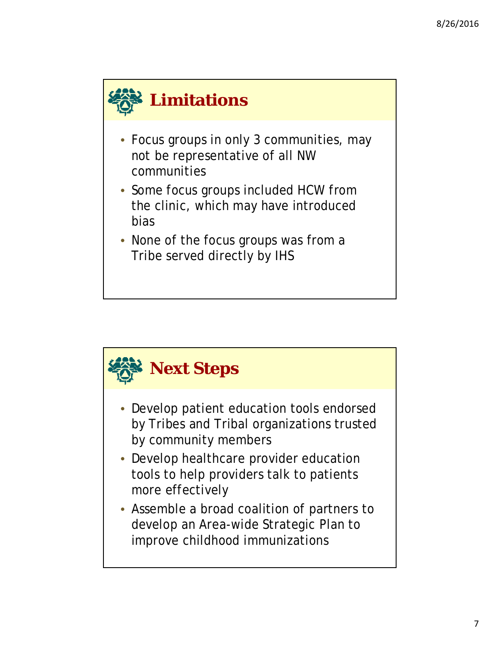